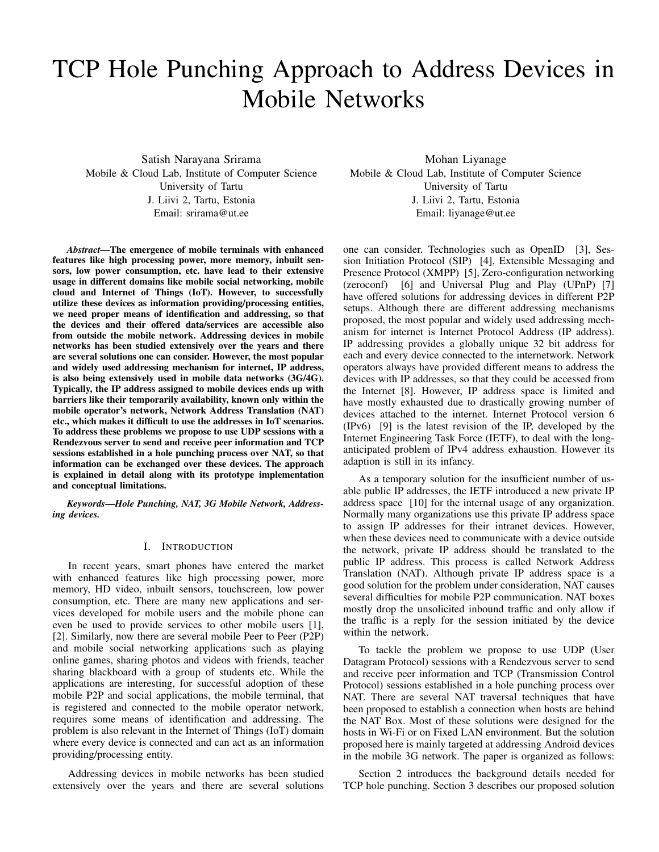# TCP Hole Punching Approach to Address Devices in Mobile Networks

Satish Narayana Srirama Mobile & Cloud Lab, Institute of Computer Science University of Tartu J. Liivi 2, Tartu, Estonia Email: srirama@ut.ee

*Abstract*—The emergence of mobile terminals with enhanced features like high processing power, more memory, inbuilt sensors, low power consumption, etc. have lead to their extensive usage in different domains like mobile social networking, mobile cloud and Internet of Things (IoT). However, to successfully utilize these devices as information providing/processing entities, we need proper means of identification and addressing, so that the devices and their offered data/services are accessible also from outside the mobile network. Addressing devices in mobile networks has been studied extensively over the years and there are several solutions one can consider. However, the most popular and widely used addressing mechanism for internet, IP address, is also being extensively used in mobile data networks (3G/4G). Typically, the IP address assigned to mobile devices ends up with barriers like their temporarily availability, known only within the mobile operator's network, Network Address Translation (NAT) etc., which makes it difficult to use the addresses in IoT scenarios. To address these problems we propose to use UDP sessions with a Rendezvous server to send and receive peer information and TCP sessions established in a hole punching process over NAT, so that information can be exchanged over these devices. The approach is explained in detail along with its prototype implementation and conceptual limitations.

*Keywords*—*Hole Punching, NAT, 3G Mobile Network, Addressing devices.*

#### I. INTRODUCTION

In recent years, smart phones have entered the market with enhanced features like high processing power, more memory, HD video, inbuilt sensors, touchscreen, low power consumption, etc. There are many new applications and services developed for mobile users and the mobile phone can even be used to provide services to other mobile users [1], [2]. Similarly, now there are several mobile Peer to Peer (P2P) and mobile social networking applications such as playing online games, sharing photos and videos with friends, teacher sharing blackboard with a group of students etc. While the applications are interesting, for successful adoption of these mobile P2P and social applications, the mobile terminal, that is registered and connected to the mobile operator network, requires some means of identification and addressing. The problem is also relevant in the Internet of Things (IoT) domain where every device is connected and can act as an information providing/processing entity.

Addressing devices in mobile networks has been studied extensively over the years and there are several solutions

Mohan Liyanage Mobile & Cloud Lab, Institute of Computer Science University of Tartu J. Liivi 2, Tartu, Estonia Email: liyanage@ut.ee

one can consider. Technologies such as OpenID [3], Session Initiation Protocol (SIP) [4], Extensible Messaging and Presence Protocol (XMPP) [5], Zero-configuration networking (zeroconf) [6] and Universal Plug and Play (UPnP) [7] have offered solutions for addressing devices in different P2P setups. Although there are different addressing mechanisms proposed, the most popular and widely used addressing mechanism for internet is Internet Protocol Address (IP address). IP addressing provides a globally unique 32 bit address for each and every device connected to the internetwork. Network operators always have provided different means to address the devices with IP addresses, so that they could be accessed from the Internet [8]. However, IP address space is limited and have mostly exhausted due to drastically growing number of devices attached to the internet. Internet Protocol version 6 (IPv6) [9] is the latest revision of the IP, developed by the Internet Engineering Task Force (IETF), to deal with the longanticipated problem of IPv4 address exhaustion. However its adaption is still in its infancy.

As a temporary solution for the insufficient number of usable public IP addresses, the IETF introduced a new private IP address space [10] for the internal usage of any organization. Normally many organizations use this private IP address space to assign IP addresses for their intranet devices. However, when these devices need to communicate with a device outside the network, private IP address should be translated to the public IP address. This process is called Network Address Translation (NAT). Although private IP address space is a good solution for the problem under consideration, NAT causes several difficulties for mobile P2P communication. NAT boxes mostly drop the unsolicited inbound traffic and only allow if the traffic is a reply for the session initiated by the device within the network.

To tackle the problem we propose to use UDP (User Datagram Protocol) sessions with a Rendezvous server to send and receive peer information and TCP (Transmission Control Protocol) sessions established in a hole punching process over NAT. There are several NAT traversal techniques that have been proposed to establish a connection when hosts are behind the NAT Box. Most of these solutions were designed for the hosts in Wi-Fi or on Fixed LAN environment. But the solution proposed here is mainly targeted at addressing Android devices in the mobile 3G network. The paper is organized as follows:

Section 2 introduces the background details needed for TCP hole punching. Section 3 describes our proposed solution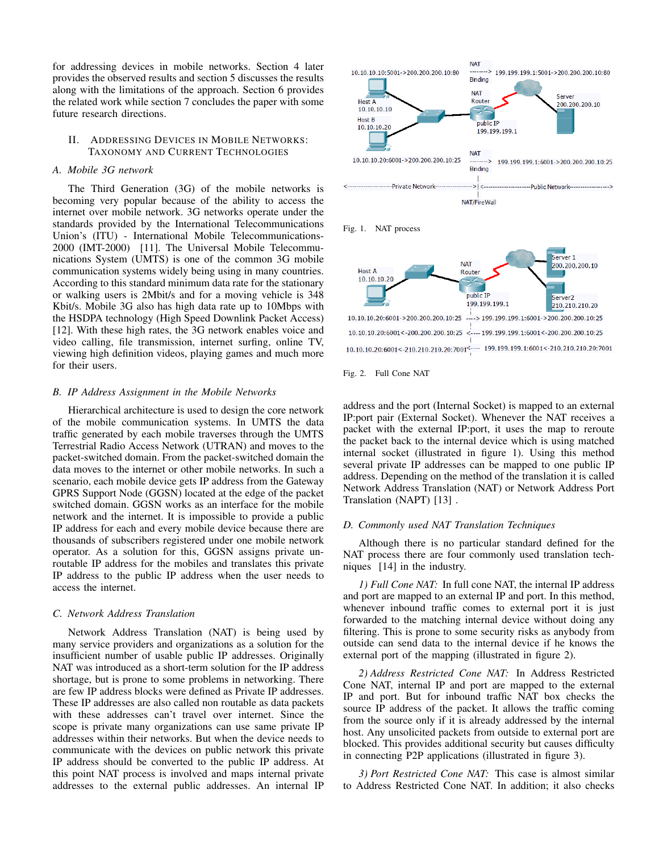for addressing devices in mobile networks. Section 4 later provides the observed results and section 5 discusses the results along with the limitations of the approach. Section 6 provides the related work while section 7 concludes the paper with some future research directions.

#### II. ADDRESSING DEVICES IN MOBILE NETWORKS: TAXONOMY AND CURRENT TECHNOLOGIES

### *A. Mobile 3G network*

The Third Generation (3G) of the mobile networks is becoming very popular because of the ability to access the internet over mobile network. 3G networks operate under the standards provided by the International Telecommunications Union's (ITU) - International Mobile Telecommunications-2000 (IMT-2000) [11]. The Universal Mobile Telecommunications System (UMTS) is one of the common 3G mobile communication systems widely being using in many countries. According to this standard minimum data rate for the stationary or walking users is 2Mbit/s and for a moving vehicle is 348 Kbit/s. Mobile 3G also has high data rate up to 10Mbps with the HSDPA technology (High Speed Downlink Packet Access) [12]. With these high rates, the 3G network enables voice and video calling, file transmission, internet surfing, online TV, viewing high definition videos, playing games and much more for their users.

#### *B. IP Address Assignment in the Mobile Networks*

Hierarchical architecture is used to design the core network of the mobile communication systems. In UMTS the data traffic generated by each mobile traverses through the UMTS Terrestrial Radio Access Network (UTRAN) and moves to the packet-switched domain. From the packet-switched domain the data moves to the internet or other mobile networks. In such a scenario, each mobile device gets IP address from the Gateway GPRS Support Node (GGSN) located at the edge of the packet switched domain. GGSN works as an interface for the mobile network and the internet. It is impossible to provide a public IP address for each and every mobile device because there are thousands of subscribers registered under one mobile network operator. As a solution for this, GGSN assigns private unroutable IP address for the mobiles and translates this private IP address to the public IP address when the user needs to access the internet.

#### *C. Network Address Translation*

Network Address Translation (NAT) is being used by many service providers and organizations as a solution for the insufficient number of usable public IP addresses. Originally NAT was introduced as a short-term solution for the IP address shortage, but is prone to some problems in networking. There are few IP address blocks were defined as Private IP addresses. These IP addresses are also called non routable as data packets with these addresses can't travel over internet. Since the scope is private many organizations can use same private IP addresses within their networks. But when the device needs to communicate with the devices on public network this private IP address should be converted to the public IP address. At this point NAT process is involved and maps internal private addresses to the external public addresses. An internal IP



Fig. 1. NAT process



Fig. 2. Full Cone NAT

address and the port (Internal Socket) is mapped to an external IP:port pair (External Socket). Whenever the NAT receives a packet with the external IP:port, it uses the map to reroute the packet back to the internal device which is using matched internal socket (illustrated in figure 1). Using this method several private IP addresses can be mapped to one public IP address. Depending on the method of the translation it is called Network Address Translation (NAT) or Network Address Port Translation (NAPT) [13] .

#### *D. Commonly used NAT Translation Techniques*

Although there is no particular standard defined for the NAT process there are four commonly used translation techniques [14] in the industry.

*1) Full Cone NAT:* In full cone NAT, the internal IP address and port are mapped to an external IP and port. In this method, whenever inbound traffic comes to external port it is just forwarded to the matching internal device without doing any filtering. This is prone to some security risks as anybody from outside can send data to the internal device if he knows the external port of the mapping (illustrated in figure 2).

*2) Address Restricted Cone NAT:* In Address Restricted Cone NAT, internal IP and port are mapped to the external IP and port. But for inbound traffic NAT box checks the source IP address of the packet. It allows the traffic coming from the source only if it is already addressed by the internal host. Any unsolicited packets from outside to external port are blocked. This provides additional security but causes difficulty in connecting P2P applications (illustrated in figure 3).

*3) Port Restricted Cone NAT:* This case is almost similar to Address Restricted Cone NAT. In addition; it also checks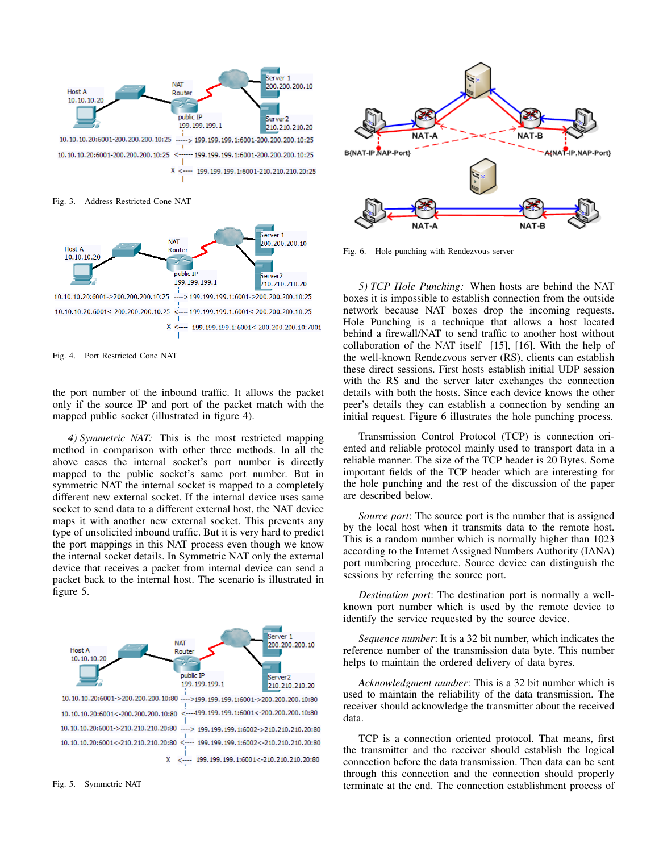

Fig. 3. Address Restricted Cone NAT



Fig. 4. Port Restricted Cone NAT

the port number of the inbound traffic. It allows the packet only if the source IP and port of the packet match with the mapped public socket (illustrated in figure 4).

*4) Symmetric NAT:* This is the most restricted mapping method in comparison with other three methods. In all the above cases the internal socket's port number is directly mapped to the public socket's same port number. But in symmetric NAT the internal socket is mapped to a completely different new external socket. If the internal device uses same socket to send data to a different external host, the NAT device maps it with another new external socket. This prevents any type of unsolicited inbound traffic. But it is very hard to predict the port mappings in this NAT process even though we know the internal socket details. In Symmetric NAT only the external device that receives a packet from internal device can send a packet back to the internal host. The scenario is illustrated in figure 5.





Fig. 6. Hole punching with Rendezvous server

*5) TCP Hole Punching:* When hosts are behind the NAT boxes it is impossible to establish connection from the outside network because NAT boxes drop the incoming requests. Hole Punching is a technique that allows a host located behind a firewall/NAT to send traffic to another host without collaboration of the NAT itself [15], [16]. With the help of the well-known Rendezvous server (RS), clients can establish these direct sessions. First hosts establish initial UDP session with the RS and the server later exchanges the connection details with both the hosts. Since each device knows the other peer's details they can establish a connection by sending an initial request. Figure 6 illustrates the hole punching process.

Transmission Control Protocol (TCP) is connection oriented and reliable protocol mainly used to transport data in a reliable manner. The size of the TCP header is 20 Bytes. Some important fields of the TCP header which are interesting for the hole punching and the rest of the discussion of the paper are described below.

*Source port*: The source port is the number that is assigned by the local host when it transmits data to the remote host. This is a random number which is normally higher than 1023 according to the Internet Assigned Numbers Authority (IANA) port numbering procedure. Source device can distinguish the sessions by referring the source port.

*Destination port*: The destination port is normally a wellknown port number which is used by the remote device to identify the service requested by the source device.

*Sequence number*: It is a 32 bit number, which indicates the reference number of the transmission data byte. This number helps to maintain the ordered delivery of data byres.

*Acknowledgment number*: This is a 32 bit number which is used to maintain the reliability of the data transmission. The receiver should acknowledge the transmitter about the received data.

TCP is a connection oriented protocol. That means, first the transmitter and the receiver should establish the logical connection before the data transmission. Then data can be sent through this connection and the connection should properly terminate at the end. The connection establishment process of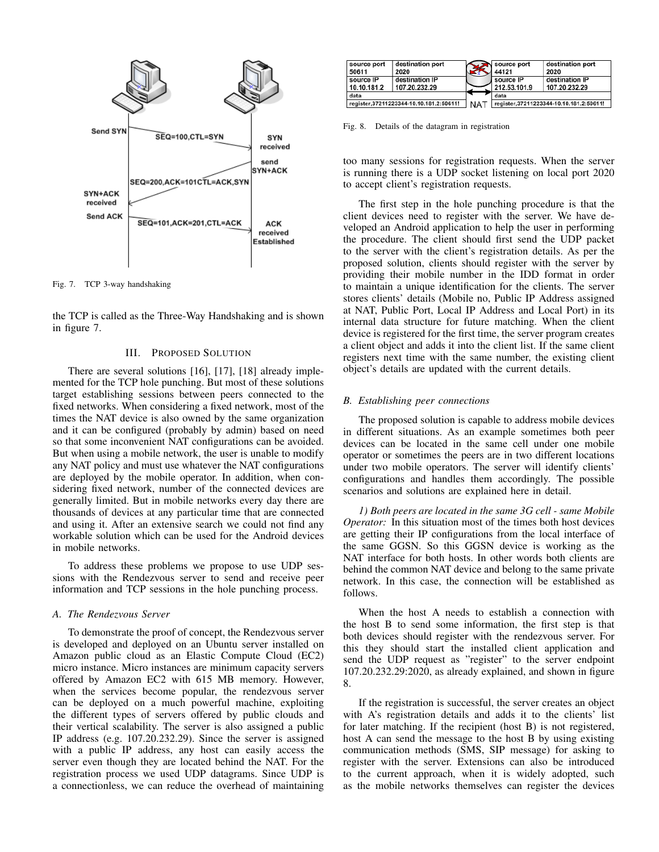

Fig. 7. TCP 3-way handshaking

the TCP is called as the Three-Way Handshaking and is shown in figure 7.

# III. PROPOSED SOLUTION

There are several solutions [16], [17], [18] already implemented for the TCP hole punching. But most of these solutions target establishing sessions between peers connected to the fixed networks. When considering a fixed network, most of the times the NAT device is also owned by the same organization and it can be configured (probably by admin) based on need so that some inconvenient NAT configurations can be avoided. But when using a mobile network, the user is unable to modify any NAT policy and must use whatever the NAT configurations are deployed by the mobile operator. In addition, when considering fixed network, number of the connected devices are generally limited. But in mobile networks every day there are thousands of devices at any particular time that are connected and using it. After an extensive search we could not find any workable solution which can be used for the Android devices in mobile networks.

To address these problems we propose to use UDP sessions with the Rendezvous server to send and receive peer information and TCP sessions in the hole punching process.

#### *A. The Rendezvous Server*

To demonstrate the proof of concept, the Rendezvous server is developed and deployed on an Ubuntu server installed on Amazon public cloud as an Elastic Compute Cloud (EC2) micro instance. Micro instances are minimum capacity servers offered by Amazon EC2 with 615 MB memory. However, when the services become popular, the rendezvous server can be deployed on a much powerful machine, exploiting the different types of servers offered by public clouds and their vertical scalability. The server is also assigned a public IP address (e.g. 107.20.232.29). Since the server is assigned with a public IP address, any host can easily access the server even though they are located behind the NAT. For the registration process we used UDP datagrams. Since UDP is a connectionless, we can reduce the overhead of maintaining

| source port                              | destination port |            | Source port                              | destination port |
|------------------------------------------|------------------|------------|------------------------------------------|------------------|
| 50611                                    | 2020             |            | 44121                                    | 2020             |
| source IP                                | destination IP   |            | source IP                                | destination IP   |
| 10.10.181.2                              | 107.20.232.29    |            | 212.53.101.9                             | 107.20.232.29    |
| data                                     |                  |            | data                                     |                  |
| register, 37211223344-10.10.181.2:50611! |                  | <b>NAT</b> | register, 37211223344-10.10.181.2:50611! |                  |

Fig. 8. Details of the datagram in registration

too many sessions for registration requests. When the server is running there is a UDP socket listening on local port 2020 to accept client's registration requests.

The first step in the hole punching procedure is that the client devices need to register with the server. We have developed an Android application to help the user in performing the procedure. The client should first send the UDP packet to the server with the client's registration details. As per the proposed solution, clients should register with the server by providing their mobile number in the IDD format in order to maintain a unique identification for the clients. The server stores clients' details (Mobile no, Public IP Address assigned at NAT, Public Port, Local IP Address and Local Port) in its internal data structure for future matching. When the client device is registered for the first time, the server program creates a client object and adds it into the client list. If the same client registers next time with the same number, the existing client object's details are updated with the current details.

#### *B. Establishing peer connections*

The proposed solution is capable to address mobile devices in different situations. As an example sometimes both peer devices can be located in the same cell under one mobile operator or sometimes the peers are in two different locations under two mobile operators. The server will identify clients' configurations and handles them accordingly. The possible scenarios and solutions are explained here in detail.

*1) Both peers are located in the same 3G cell - same Mobile Operator:* In this situation most of the times both host devices are getting their IP configurations from the local interface of the same GGSN. So this GGSN device is working as the NAT interface for both hosts. In other words both clients are behind the common NAT device and belong to the same private network. In this case, the connection will be established as follows.

When the host A needs to establish a connection with the host B to send some information, the first step is that both devices should register with the rendezvous server. For this they should start the installed client application and send the UDP request as "register" to the server endpoint 107.20.232.29:2020, as already explained, and shown in figure 8.

If the registration is successful, the server creates an object with A's registration details and adds it to the clients' list for later matching. If the recipient (host B) is not registered, host A can send the message to the host B by using existing communication methods (SMS, SIP message) for asking to register with the server. Extensions can also be introduced to the current approach, when it is widely adopted, such as the mobile networks themselves can register the devices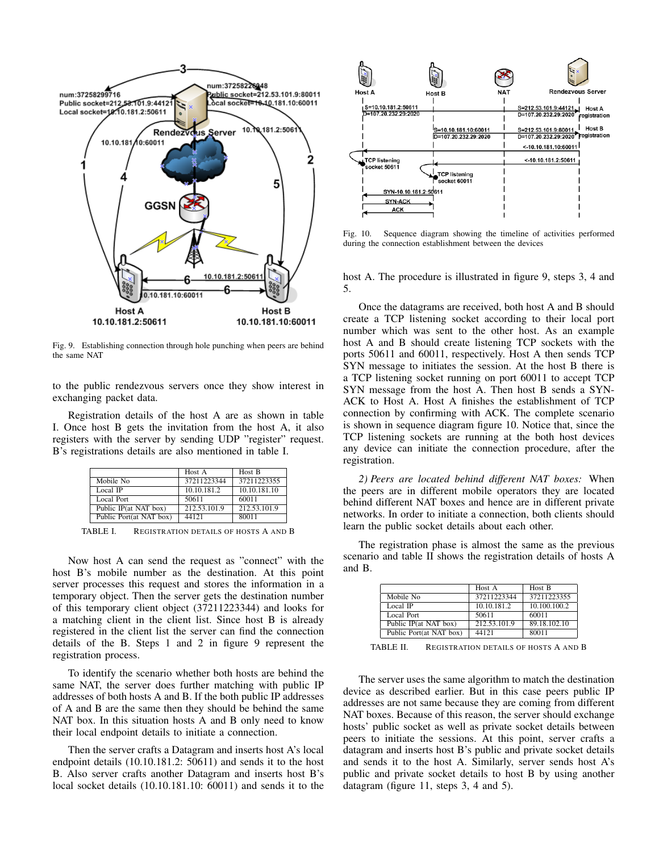

Fig. 9. Establishing connection through hole punching when peers are behind the same NAT

to the public rendezvous servers once they show interest in exchanging packet data.

Registration details of the host A are as shown in table I. Once host B gets the invitation from the host A, it also registers with the server by sending UDP "register" request. B's registrations details are also mentioned in table I.

|                         | Host A       | Host B       |
|-------------------------|--------------|--------------|
| Mobile No               | 37211223344  | 37211223355  |
| Local IP                | 10.10.181.2  | 10.10.181.10 |
| Local Port              | 50611        | 60011        |
| Public IP(at NAT box)   | 212.53.101.9 | 212.53.101.9 |
| Public Port(at NAT box) | 44121        | 80011        |

TABLE I. REGISTRATION DETAILS OF HOSTS A AND B

Now host A can send the request as "connect" with the host B's mobile number as the destination. At this point server processes this request and stores the information in a temporary object. Then the server gets the destination number of this temporary client object (37211223344) and looks for a matching client in the client list. Since host B is already registered in the client list the server can find the connection details of the B. Steps 1 and 2 in figure 9 represent the registration process.

To identify the scenario whether both hosts are behind the same NAT, the server does further matching with public IP addresses of both hosts A and B. If the both public IP addresses of A and B are the same then they should be behind the same NAT box. In this situation hosts A and B only need to know their local endpoint details to initiate a connection.

Then the server crafts a Datagram and inserts host A's local endpoint details (10.10.181.2: 50611) and sends it to the host B. Also server crafts another Datagram and inserts host B's local socket details (10.10.181.10: 60011) and sends it to the



Fig. 10. Sequence diagram showing the timeline of activities performed during the connection establishment between the devices

host A. The procedure is illustrated in figure 9, steps 3, 4 and 5.

Once the datagrams are received, both host A and B should create a TCP listening socket according to their local port number which was sent to the other host. As an example host A and B should create listening TCP sockets with the ports 50611 and 60011, respectively. Host A then sends TCP SYN message to initiates the session. At the host B there is a TCP listening socket running on port 60011 to accept TCP SYN message from the host A. Then host B sends a SYN-ACK to Host A. Host A finishes the establishment of TCP connection by confirming with ACK. The complete scenario is shown in sequence diagram figure 10. Notice that, since the TCP listening sockets are running at the both host devices any device can initiate the connection procedure, after the registration.

*2) Peers are located behind different NAT boxes:* When the peers are in different mobile operators they are located behind different NAT boxes and hence are in different private networks. In order to initiate a connection, both clients should learn the public socket details about each other.

The registration phase is almost the same as the previous scenario and table II shows the registration details of hosts A and B.

|                         | Host A       | Host B       |
|-------------------------|--------------|--------------|
| Mobile No               | 37211223344  | 37211223355  |
| Local IP                | 10.10.181.2  | 10.100.100.2 |
| Local Port              | 50611        | 60011        |
| Public IP(at NAT box)   | 212.53.101.9 | 89.18.102.10 |
| Public Port(at NAT box) | 44121        | 80011        |

TABLE II. REGISTRATION DETAILS OF HOSTS A AND B

The server uses the same algorithm to match the destination device as described earlier. But in this case peers public IP addresses are not same because they are coming from different NAT boxes. Because of this reason, the server should exchange hosts' public socket as well as private socket details between peers to initiate the sessions. At this point, server crafts a datagram and inserts host B's public and private socket details and sends it to the host A. Similarly, server sends host A's public and private socket details to host B by using another datagram (figure 11, steps 3, 4 and 5).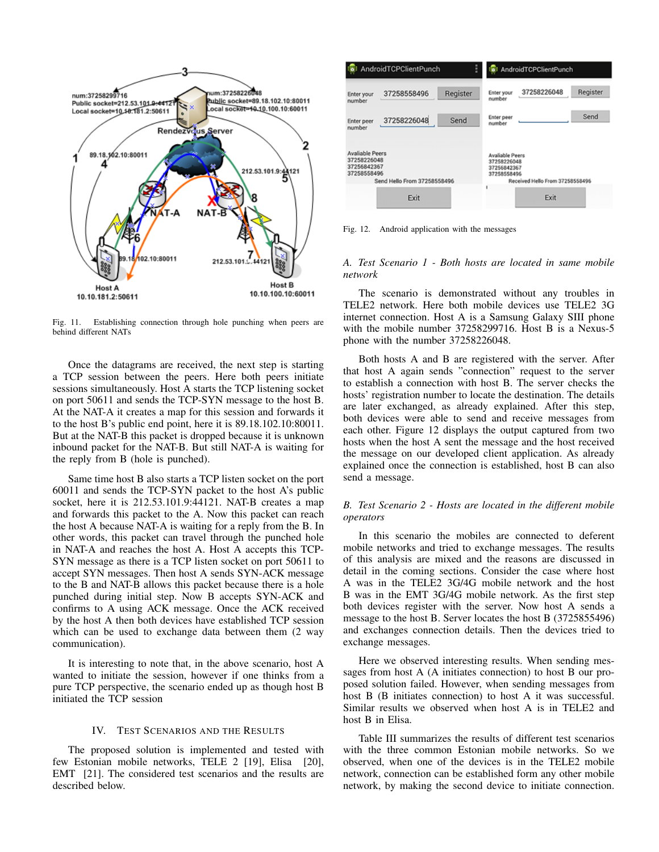

Fig. 11. Establishing connection through hole punching when peers are behind different NATs

Once the datagrams are received, the next step is starting a TCP session between the peers. Here both peers initiate sessions simultaneously. Host A starts the TCP listening socket on port 50611 and sends the TCP-SYN message to the host B. At the NAT-A it creates a map for this session and forwards it to the host B's public end point, here it is 89.18.102.10:80011. But at the NAT-B this packet is dropped because it is unknown inbound packet for the NAT-B. But still NAT-A is waiting for the reply from B (hole is punched).

Same time host B also starts a TCP listen socket on the port 60011 and sends the TCP-SYN packet to the host A's public socket, here it is 212.53.101.9:44121. NAT-B creates a map and forwards this packet to the A. Now this packet can reach the host A because NAT-A is waiting for a reply from the B. In other words, this packet can travel through the punched hole in NAT-A and reaches the host A. Host A accepts this TCP-SYN message as there is a TCP listen socket on port 50611 to accept SYN messages. Then host A sends SYN-ACK message to the B and NAT-B allows this packet because there is a hole punched during initial step. Now B accepts SYN-ACK and confirms to A using ACK message. Once the ACK received by the host A then both devices have established TCP session which can be used to exchange data between them (2 way communication).

It is interesting to note that, in the above scenario, host A wanted to initiate the session, however if one thinks from a pure TCP perspective, the scenario ended up as though host B initiated the TCP session

#### IV. TEST SCENARIOS AND THE RESULTS

The proposed solution is implemented and tested with few Estonian mobile networks, TELE 2 [19], Elisa [20], EMT [21]. The considered test scenarios and the results are described below.



Fig. 12. Android application with the messages

### *A. Test Scenario 1 - Both hosts are located in same mobile network*

The scenario is demonstrated without any troubles in TELE2 network. Here both mobile devices use TELE2 3G internet connection. Host A is a Samsung Galaxy SIII phone with the mobile number 37258299716. Host B is a Nexus-5 phone with the number 37258226048.

Both hosts A and B are registered with the server. After that host A again sends "connection" request to the server to establish a connection with host B. The server checks the hosts' registration number to locate the destination. The details are later exchanged, as already explained. After this step, both devices were able to send and receive messages from each other. Figure 12 displays the output captured from two hosts when the host A sent the message and the host received the message on our developed client application. As already explained once the connection is established, host B can also send a message.

#### *B. Test Scenario 2 - Hosts are located in the different mobile operators*

In this scenario the mobiles are connected to deferent mobile networks and tried to exchange messages. The results of this analysis are mixed and the reasons are discussed in detail in the coming sections. Consider the case where host A was in the TELE2 3G/4G mobile network and the host B was in the EMT 3G/4G mobile network. As the first step both devices register with the server. Now host A sends a message to the host B. Server locates the host B (3725855496) and exchanges connection details. Then the devices tried to exchange messages.

Here we observed interesting results. When sending messages from host A (A initiates connection) to host B our proposed solution failed. However, when sending messages from host B (B initiates connection) to host A it was successful. Similar results we observed when host A is in TELE2 and host B in Elisa.

Table III summarizes the results of different test scenarios with the three common Estonian mobile networks. So we observed, when one of the devices is in the TELE2 mobile network, connection can be established form any other mobile network, by making the second device to initiate connection.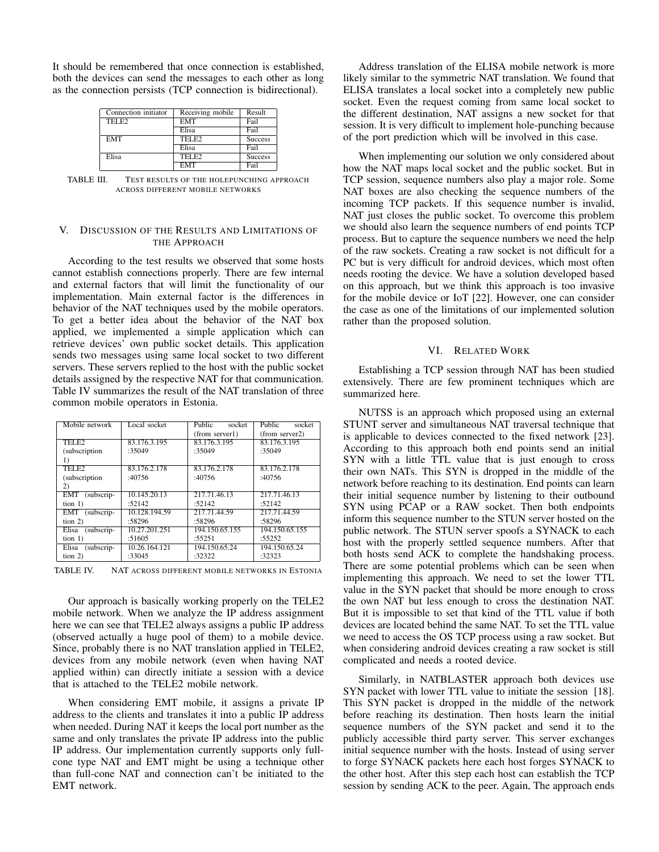It should be remembered that once connection is established, both the devices can send the messages to each other as long as the connection persists (TCP connection is bidirectional).

| Connection initiator | Receiving mobile  | Result         |
|----------------------|-------------------|----------------|
| TELE2                | <b>EMT</b>        | Fail           |
|                      | Elisa             | Fail           |
| <b>EMT</b>           | TELE <sub>2</sub> | <b>Success</b> |
|                      | Elisa             | Fail           |
| Elisa                | TELE2             | <b>Success</b> |
|                      | <b>FMT</b>        | Fail           |

TABLE III. TEST RESULTS OF THE HOLEPUNCHING APPROACH ACROSS DIFFERENT MOBILE NETWORKS

# V. DISCUSSION OF THE RESULTS AND LIMITATIONS OF THE APPROACH

According to the test results we observed that some hosts cannot establish connections properly. There are few internal and external factors that will limit the functionality of our implementation. Main external factor is the differences in behavior of the NAT techniques used by the mobile operators. To get a better idea about the behavior of the NAT box applied, we implemented a simple application which can retrieve devices' own public socket details. This application sends two messages using same local socket to two different servers. These servers replied to the host with the public socket details assigned by the respective NAT for that communication. Table IV summarizes the result of the NAT translation of three common mobile operators in Estonia.

| Mobile network         | Local socket  | Public<br>socket | Public<br>socket |
|------------------------|---------------|------------------|------------------|
|                        |               | (from server1)   | (from server2)   |
| TELE <sub>2</sub>      | 83.176.3.195  | 83.176.3.195     | 83.176.3.195     |
| (subscription)         | :35049        | :35049           | :35049           |
| 1)                     |               |                  |                  |
| TELE <sub>2</sub>      | 83.176.2.178  | 83.176.2.178     | 83.176.2.178     |
| (subscription)         | :40756        | :40756           | :40756           |
| 2)                     |               |                  |                  |
| $(subscript-$<br>EMT   | 10.145.20.13  | 217.71.46.13     | 217.71.46.13     |
| tion 1)                | :52142        | :52142           | :52142           |
| (subscrip-<br>EMT      | 10.128.194.59 | 217.71.44.59     | 217.71.44.59     |
| tion 2)                | :58296        | :58296           | :58296           |
| $(subscript-$<br>Elisa | 10.27.201.251 | 194.150.65.155   | 194.150.65.155   |
| tion 1)                | :51605        | :55251           | :55252           |
| (subscrip-<br>Elisa    | 10.26.164.121 | 194.150.65.24    | 194.150.65.24    |
| tion 2)                | :33045        | :32322           | :32323           |

TABLE IV. NAT ACROSS DIFFERENT MOBILE NETWORKS IN ESTONIA

Our approach is basically working properly on the TELE2 mobile network. When we analyze the IP address assignment here we can see that TELE2 always assigns a public IP address (observed actually a huge pool of them) to a mobile device. Since, probably there is no NAT translation applied in TELE2, devices from any mobile network (even when having NAT applied within) can directly initiate a session with a device that is attached to the TELE2 mobile network.

When considering EMT mobile, it assigns a private IP address to the clients and translates it into a public IP address when needed. During NAT it keeps the local port number as the same and only translates the private IP address into the public IP address. Our implementation currently supports only fullcone type NAT and EMT might be using a technique other than full-cone NAT and connection can't be initiated to the EMT network.

Address translation of the ELISA mobile network is more likely similar to the symmetric NAT translation. We found that ELISA translates a local socket into a completely new public socket. Even the request coming from same local socket to the different destination, NAT assigns a new socket for that session. It is very difficult to implement hole-punching because of the port prediction which will be involved in this case.

When implementing our solution we only considered about how the NAT maps local socket and the public socket. But in TCP session, sequence numbers also play a major role. Some NAT boxes are also checking the sequence numbers of the incoming TCP packets. If this sequence number is invalid, NAT just closes the public socket. To overcome this problem we should also learn the sequence numbers of end points TCP process. But to capture the sequence numbers we need the help of the raw sockets. Creating a raw socket is not difficult for a PC but is very difficult for android devices, which most often needs rooting the device. We have a solution developed based on this approach, but we think this approach is too invasive for the mobile device or IoT [22]. However, one can consider the case as one of the limitations of our implemented solution rather than the proposed solution.

#### VI. RELATED WORK

Establishing a TCP session through NAT has been studied extensively. There are few prominent techniques which are summarized here.

NUTSS is an approach which proposed using an external STUNT server and simultaneous NAT traversal technique that is applicable to devices connected to the fixed network [23]. According to this approach both end points send an initial SYN with a little TTL value that is just enough to cross their own NATs. This SYN is dropped in the middle of the network before reaching to its destination. End points can learn their initial sequence number by listening to their outbound SYN using PCAP or a RAW socket. Then both endpoints inform this sequence number to the STUN server hosted on the public network. The STUN server spoofs a SYNACK to each host with the properly settled sequence numbers. After that both hosts send ACK to complete the handshaking process. There are some potential problems which can be seen when implementing this approach. We need to set the lower TTL value in the SYN packet that should be more enough to cross the own NAT but less enough to cross the destination NAT. But it is impossible to set that kind of the TTL value if both devices are located behind the same NAT. To set the TTL value we need to access the OS TCP process using a raw socket. But when considering android devices creating a raw socket is still complicated and needs a rooted device.

Similarly, in NATBLASTER approach both devices use SYN packet with lower TTL value to initiate the session [18]. This SYN packet is dropped in the middle of the network before reaching its destination. Then hosts learn the initial sequence numbers of the SYN packet and send it to the publicly accessible third party server. This server exchanges initial sequence number with the hosts. Instead of using server to forge SYNACK packets here each host forges SYNACK to the other host. After this step each host can establish the TCP session by sending ACK to the peer. Again, The approach ends